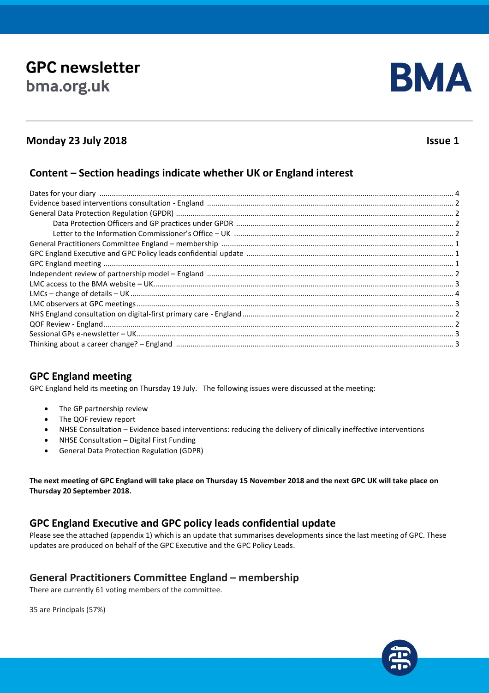# **GPC newsletter** bma.org.uk



# **Monday 23 July 2018 Issue 1**

#### **Content – Section headings indicate whether UK or England interest**

# **GPC England meeting**

GPC England held its meeting on Thursday 19 July. The following issues were discussed at the meeting:

- The GP partnership review
- The QOF review report
- NHSE Consultation Evidence based interventions: reducing the delivery of clinically ineffective interventions
- NHSE Consultation Digital First Funding
- General Data Protection Regulation (GDPR)

**The next meeting of GPC England will take place on Thursday 15 November 2018 and the next GPC UK will take place on Thursday 20 September 2018.**

# **GPC England Executive and GPC policy leads confidential update**

Please see the attached (appendix 1) which is an update that summarises developments since the last meeting of GPC. These updates are produced on behalf of the GPC Executive and the GPC Policy Leads.

#### **General Practitioners Committee England – membership**

There are currently 61 voting members of the committee.

35 are Principals (57%)

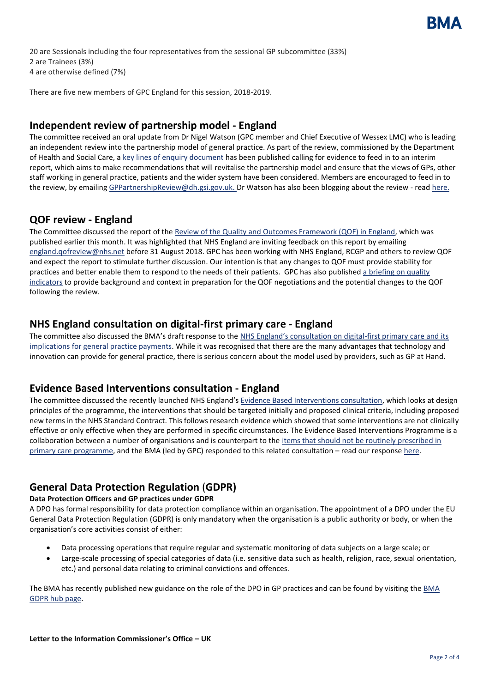20 are Sessionals including the four representatives from the sessional GP subcommittee (33%) 2 are Trainees (3%) 4 are otherwise defined (7%)

There are five new members of GPC England for this session, 2018-2019.

#### **Independent review of partnership model - England**

The committee received an oral update from Dr Nigel Watson (GPC member and Chief Executive of Wessex LMC) who is leading an independent review into the partnership model of general practice. As part of the review, commissioned by the Department of Health and Social Care, a [key lines of enquiry document](https://www.gov.uk/government/publications/gp-partnership-review-key-lines-of-enquiry-call-for-evidence) has been published calling for evidence to feed in to an interim report, which aims to make recommendations that will revitalise the partnership model and ensure that the views of GPs, other staff working in general practice, patients and the wider system have been considered. Members are encouraged to feed in to the review, by emailing [GPPartnershipReview@dh.gsi.gov.uk.](mailto:GPPartnershipReview@dh.gsi.gov.uk) Dr Watson has also been blogging about the review - rea[d here.](https://www.wessexlmcs.com/gppartnershipreview)

#### **QOF review - England**

The Committee discussed the report of the [Review of the Quality and Outcomes Framework \(QOF\) in England,](https://www.england.nhs.uk/publication/report-of-the-review-of-the-quality-and-outcomes-framework-in-england/) which was published earlier this month. It was highlighted that NHS England are inviting feedback on this report by emailing [england.qofreview@nhs.net](mailto:england.qofreview@nhs.net) before 31 August 2018. GPC has been working with NHS England, RCGP and others to review QOF and expect the report to stimulate further discussion. Our intention is that any changes to QOF must provide stability for practices and better enable them to respond to the needs of their patients. GPC has also published [a briefing on quality](https://www.bma.org.uk/collective-voice/committees/general-practitioners-committee/gpc-current-issues/priorities-of-the-gpc-uk)  [indicators](https://www.bma.org.uk/collective-voice/committees/general-practitioners-committee/gpc-current-issues/priorities-of-the-gpc-uk) to provide background and context in preparation for the QOF negotiations and the potential changes to the QOF following the review.

#### **NHS England consultation on digital-first primary care - England**

The committee also discussed the BMA's draft response to the [NHS England's consultation on digital](https://www.engage.england.nhs.uk/survey/digital-first-primary-care/)-first primary care and its [implications for general practice payments.](https://www.engage.england.nhs.uk/survey/digital-first-primary-care/) While it was recognised that there are the many advantages that technology and innovation can provide for general practice, there is serious concern about the model used by providers, such as GP at Hand.

#### **Evidence Based Interventions consultation - England**

The committee discussed the recently launched NHS England's [Evidence Based Interventions consultation,](https://www.england.nhs.uk/evidence-based-interventions/) which looks at design principles of the programme, the interventions that should be targeted initially and proposed clinical criteria, including proposed new terms in the NHS Standard Contract. This follows research evidence which showed that some interventions are not clinically effective or only effective when they are performed in specific circumstances. The Evidence Based Interventions Programme is a collaboration between a number of organisations and is counterpart to the [items that should not be routinely prescribed in](https://www.england.nhs.uk/medicines/items-which-should-not-be-routinely-prescribed/)  [primary care programme,](https://www.england.nhs.uk/medicines/items-which-should-not-be-routinely-prescribed/) and the BMA (led by GPC) responded to this related consultation – read our respons[e here.](https://www.bma.org.uk/-/media/files/pdfs/collective%20voice/influence/uk%20governments/items-which-should-not-routinely-be-prescribed-bma-consultation-response-october-2017.pdf?la=en)

# **General Data Protection Regulation** (**GDPR)**

#### **Data Protection Officers and GP practices under GDPR**

A DPO has formal responsibility for data protection compliance within an organisation. The appointment of a DPO under the EU General Data Protection Regulation (GDPR) is only mandatory when the organisation is a public authority or body, or when the organisation's core activities consist of either:

- Data processing operations that require regular and systematic monitoring of data subjects on a large scale; or
- Large-scale processing of special categories of data (i.e. sensitive data such as health, religion, race, sexual orientation, etc.) and personal data relating to criminal convictions and offences.

Th[e BMA](https://www.bma.org.uk/advice/employment/ethics/confidentiality-and-health-records/general-data-protection-regulation-gdpr) has recently published new guidance on the role of the DPO in GP practices and can be found by visiting the BMA [GDPR hub page.](https://www.bma.org.uk/advice/employment/ethics/confidentiality-and-health-records/general-data-protection-regulation-gdpr)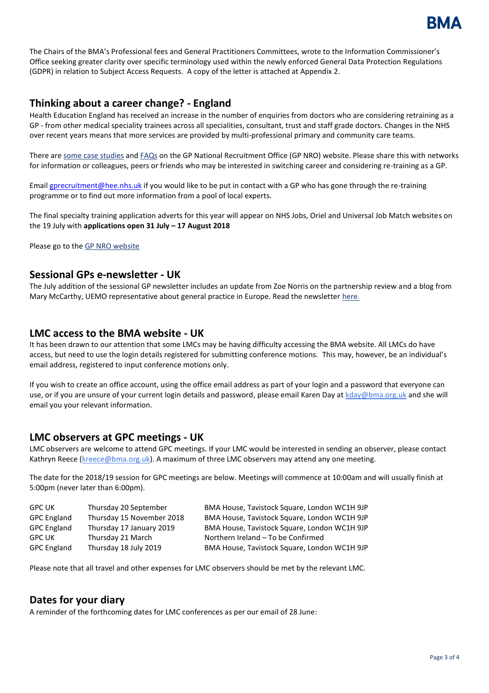

The Chairs of the BMA's Professional fees and General Practitioners Committees, wrote to the Information Commissioner's Office seeking greater clarity over specific terminology used within the newly enforced General Data Protection Regulations (GDPR) in relation to Subject Access Requests. A copy of the letter is attached at Appendix 2.

#### **Thinking about a career change? - England**

Health Education England has received an increase in the number of enquiries from doctors who are considering retraining as a GP - from other medical speciality trainees across all specialities, consultant, trust and staff grade doctors. Changes in the NHS over recent years means that more services are provided by multi-professional primary and community care teams.

There ar[e some case studies](https://emea01.safelinks.protection.outlook.com/?url=https%3A%2F%2Fgprecruitment.hee.nhs.uk%2FRecruitment%2FGPCSR&data=01%7C01%7CRPursand%40bma.org.uk%7C0e0034e3d5ae408d147d08d5d055ff04%7Cbf448ebee65f40e69e3133fdaa412880%7C0&sdata=Mv2JVXouHFqBiewPDoft3MSRViVYuJTyQlVBFxqFVtI%3D&reserved=0) an[d FAQs](https://emea01.safelinks.protection.outlook.com/?url=https%3A%2F%2Fgprecruitment.hee.nhs.uk%2FRecruitment%2FRetraining-FAQs&data=01%7C01%7CRPursand%40bma.org.uk%7C0e0034e3d5ae408d147d08d5d055ff04%7Cbf448ebee65f40e69e3133fdaa412880%7C0&sdata=sL1CfLSP0RiTH6CCyRtm4ZJzbShwma9Gs%2FI%2Bp2%2FHA6w%3D&reserved=0) on the GP National Recruitment Office (GP NRO) website. Please share this with networks for information or colleagues, peers or friends who may be interested in switching career and considering re-training as a GP.

Email **gprecruitment@hee.nhs.uk** if you would like to be put in contact with a GP who has gone through the re-training programme or to find out more information from a pool of local experts.

The final specialty training application adverts for this year will appear on NHS Jobs, Oriel and Universal Job Match websites on the 19 July with **applications open 31 July – 17 August 2018**

Please go to th[e GP NRO website](https://emea01.safelinks.protection.outlook.com/?url=https%3A%2F%2Fgprecruitment.hee.nhs.uk%2FRecruitment%2FNothing-General&data=01%7C01%7CRPursand%40bma.org.uk%7C0e0034e3d5ae408d147d08d5d055ff04%7Cbf448ebee65f40e69e3133fdaa412880%7C0&sdata=s9Qh8THKTyV8Mb9zn%2BlhlbvWAPQhzKQea4MBzY80guo%3D&reserved=0)

#### **Sessional GPs e-newsletter - UK**

The July addition of the sessional GP newsletter includes an update from Zoe Norris on the partnership review and a blog from Mary McCarthy, UEMO representative about general practice in Europe. Read the newsletter [here.](https://bma-mail.org.uk/t/JVX-5QY7R-1BJCJOU46E/cr.aspx)

#### **LMC access to the BMA website - UK**

It has been drawn to our attention that some LMCs may be having difficulty accessing the BMA website. All LMCs do have access, but need to use the login details registered for submitting conference motions. This may, however, be an individual's email address, registered to input conference motions only.

If you wish to create an office account, using the office email address as part of your login and a password that everyone can use, or if you are unsure of your current login details and password, please email Karen Day a[t kday@bma.org.uk](mailto:kday@bma.org.uk) and she will email you your relevant information.

#### **LMC observers at GPC meetings - UK**

LMC observers are welcome to attend GPC meetings. If your LMC would be interested in sending an observer, please contact Kathryn Reece [\(kreece@bma.org.uk\)](mailto:kreece@bma.org.uk). A maximum of three LMC observers may attend any one meeting.

The date for the 2018/19 session for GPC meetings are below. Meetings will commence at 10:00am and will usually finish at 5:00pm (never later than 6:00pm).

| <b>GPC UK</b>      | Thursday 20 September     | BMA House, Tavistock Square, London WC1H 9JP |
|--------------------|---------------------------|----------------------------------------------|
| <b>GPC England</b> | Thursday 15 November 2018 | BMA House, Tavistock Square, London WC1H 9JP |
| <b>GPC England</b> | Thursday 17 January 2019  | BMA House, Tavistock Square, London WC1H 9JP |
| GPC UK             | Thursday 21 March         | Northern Ireland - To be Confirmed           |
| <b>GPC England</b> | Thursday 18 July 2019     | BMA House, Tavistock Square, London WC1H 9JP |

Please note that all travel and other expenses for LMC observers should be met by the relevant LMC.

# **Dates for your diary**

A reminder of the forthcoming dates for LMC conferences as per our email of 28 June: